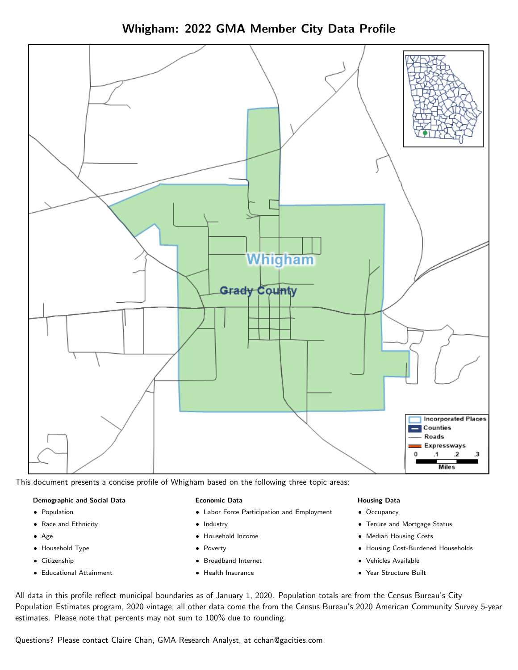Whigham: 2022 GMA Member City Data Profile



This document presents a concise profile of Whigham based on the following three topic areas:

### Demographic and Social Data

- **•** Population
- Race and Ethnicity
- Age
- Household Type
- **Citizenship**
- Educational Attainment

### Economic Data

- Labor Force Participation and Employment
- Industry
- Household Income
- Poverty
- Broadband Internet
- Health Insurance

### Housing Data

- Occupancy
- Tenure and Mortgage Status
- Median Housing Costs
- Housing Cost-Burdened Households
- Vehicles Available
- Year Structure Built

All data in this profile reflect municipal boundaries as of January 1, 2020. Population totals are from the Census Bureau's City Population Estimates program, 2020 vintage; all other data come the from the Census Bureau's 2020 American Community Survey 5-year estimates. Please note that percents may not sum to 100% due to rounding.

Questions? Please contact Claire Chan, GMA Research Analyst, at [cchan@gacities.com.](mailto:cchan@gacities.com)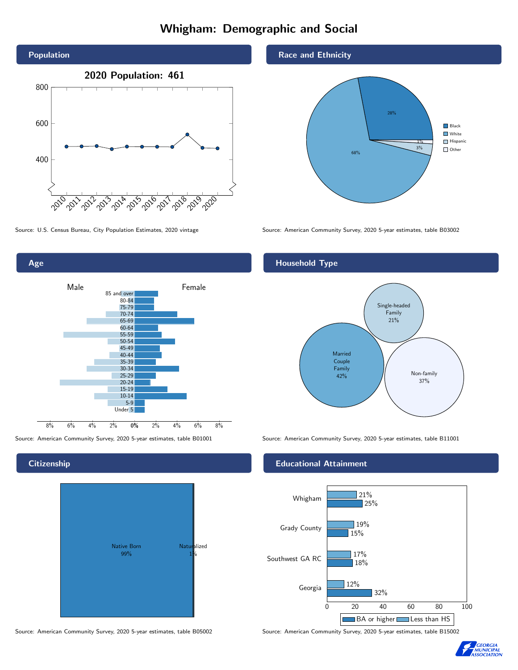# Whigham: Demographic and Social



0% 2% 4% 6% 8% Male **Female** Female 8% 6% 4% 2% 85 and over 80-84 75-79 70-74 65-69 60-64 55-59 50-54 45-49 40-44 35-39 30-34 25-29 20-24 15-19 10-14 5-9 Under 5

# Native Born 99% Naturalized 1%

Source: U.S. Census Bureau, City Population Estimates, 2020 vintage Source: American Community Survey, 2020 5-year estimates, table B03002

68%

28%

3% 1%

**Black White** Hispanic Other

# Household Type

Race and Ethnicity



Source: American Community Survey, 2020 5-year estimates, table B01001 Source: American Community Survey, 2020 5-year estimates, table B11001

## Educational Attainment



Source: American Community Survey, 2020 5-year estimates, table B05002 Source: American Community Survey, 2020 5-year estimates, table B15002



# **Citizenship**

Age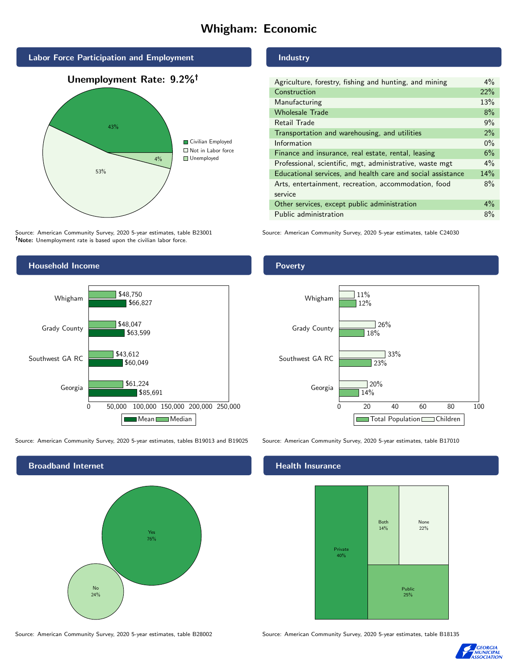# Whigham: Economic



Source: American Community Survey, 2020 5-year estimates, table B23001 Note: Unemployment rate is based upon the civilian labor force.

## Industry

| Agriculture, forestry, fishing and hunting, and mining      | $4\%$ |
|-------------------------------------------------------------|-------|
| Construction                                                | 22%   |
| Manufacturing                                               | 13%   |
| <b>Wholesale Trade</b>                                      | 8%    |
| Retail Trade                                                | 9%    |
| Transportation and warehousing, and utilities               | 2%    |
| Information                                                 | $0\%$ |
| Finance and insurance, real estate, rental, leasing         | 6%    |
| Professional, scientific, mgt, administrative, waste mgt    | $4\%$ |
| Educational services, and health care and social assistance | 14%   |
| Arts, entertainment, recreation, accommodation, food        | 8%    |
| service                                                     |       |
| Other services, except public administration                | $4\%$ |
| Public administration                                       | 8%    |

Source: American Community Survey, 2020 5-year estimates, table C24030



Source: American Community Survey, 2020 5-year estimates, tables B19013 and B19025 Source: American Community Survey, 2020 5-year estimates, table B17010

Broadband Internet No 24% Yes 76%

14%

 $720%$ 

23%

 $126%$ 

 $33%$ 

18%

12%

11%

## Health Insurance

Georgia

Whigham



0 20 40 60 80 100

Total Population Children

Source: American Community Survey, 2020 5-year estimates, table B28002 Source: American Community Survey, 2020 5-year estimates, table B18135